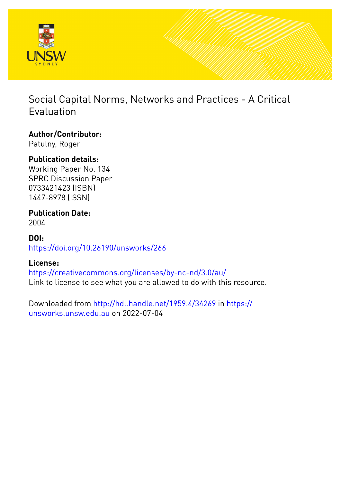

## Social Capital Norms, Networks and Practices - A Critical Evaluation

# **Author/Contributor:**

Patulny, Roger

## **Publication details:**

Working Paper No. 134 SPRC Discussion Paper 0733421423 (ISBN) 1447-8978 (ISSN)

#### **Publication Date:** 2004

### **DOI:** [https://doi.org/10.26190/unsworks/266](http://dx.doi.org/https://doi.org/10.26190/unsworks/266)

## **License:**

<https://creativecommons.org/licenses/by-nc-nd/3.0/au/> Link to license to see what you are allowed to do with this resource.

Downloaded from <http://hdl.handle.net/1959.4/34269> in [https://](https://unsworks.unsw.edu.au) [unsworks.unsw.edu.au](https://unsworks.unsw.edu.au) on 2022-07-04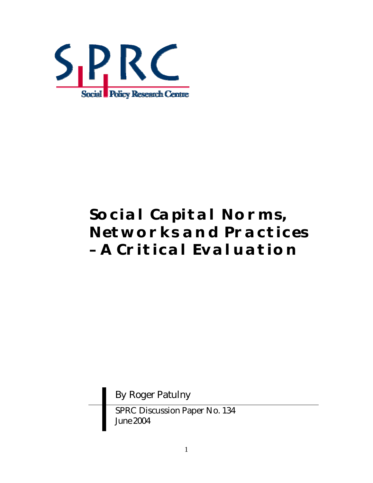

# **Social Capital Norms, Networks and Practices – A Critical Evaluation**

By Roger Patulny

SPRC Discussion Paper No. 134 *June 2004*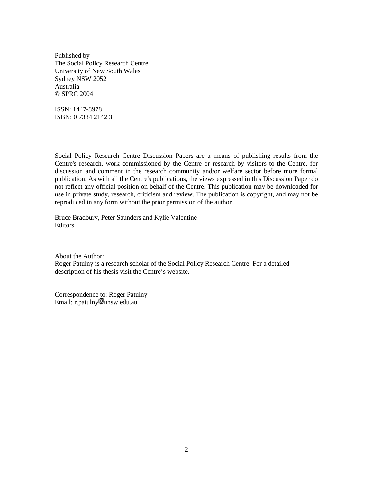Published by The Social Policy Research Centre University of New South Wales Sydney NSW 2052 Australia © SPRC 2004

ISSN: 1447-8978 ISBN: 0 7334 2142 3

Social Policy Research Centre Discussion Papers are a means of publishing results from the Centre's research, work commissioned by the Centre or research by visitors to the Centre, for discussion and comment in the research community and/or welfare sector before more formal publication. As with all the Centre's publications, the views expressed in this Discussion Paper do not reflect any official position on behalf of the Centre. This publication may be downloaded for use in private study, research, criticism and review. The publication is copyright, and may not be reproduced in any form without the prior permission of the author.

Bruce Bradbury, Peter Saunders and Kylie Valentine Editors

About the Author: Roger Patulny is a research scholar of the Social Policy Research Centre. For a detailed description of his thesis visit the Centre's website.

Correspondence to: Roger Patulny  $Email: r.path$ <sub>unsw.edu.au</sub>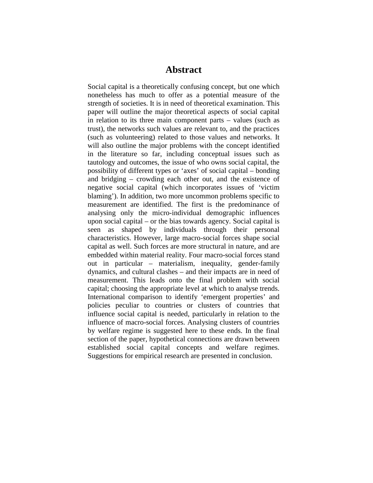#### **Abstract**

Social capital is a theoretically confusing concept, but one which nonetheless has much to offer as a potential measure of the strength of societies. It is in need of theoretical examination. This paper will outline the major theoretical aspects of social capital in relation to its three main component parts – values (such as trust), the networks such values are relevant to, and the practices (such as volunteering) related to those values and networks. It will also outline the major problems with the concept identified in the literature so far, including conceptual issues such as tautology and outcomes, the issue of who owns social capital, the possibility of different types or 'axes' of social capital – bonding and bridging – crowding each other out, and the existence of negative social capital (which incorporates issues of 'victim blaming'). In addition, two more uncommon problems specific to measurement are identified. The first is the predominance of analysing only the micro-individual demographic influences upon social capital – or the bias towards agency. Social capital is seen as shaped by individuals through their personal characteristics. However, large macro-social forces shape social capital as well. Such forces are more structural in nature, and are embedded within material reality. Four macro-social forces stand out in particular – materialism, inequality, gender-family dynamics, and cultural clashes – and their impacts are in need of measurement. This leads onto the final problem with social capital; choosing the appropriate level at which to analyse trends. International comparison to identify 'emergent properties' and policies peculiar to countries or clusters of countries that influence social capital is needed, particularly in relation to the influence of macro-social forces. Analysing clusters of countries by welfare regime is suggested here to these ends. In the final section of the paper, hypothetical connections are drawn between established social capital concepts and welfare regimes. Suggestions for empirical research are presented in conclusion.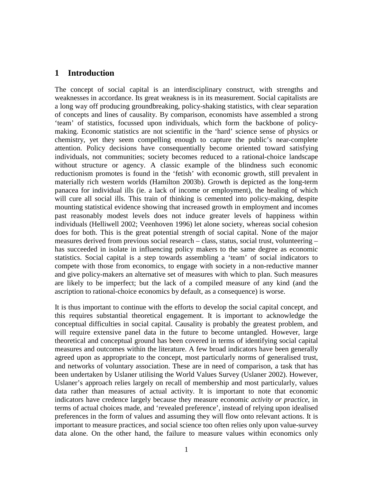#### **1 Introduction**

The concept of social capital is an interdisciplinary construct, with strengths and weaknesses in accordance. Its great weakness is in its measurement. Social capitalists are a long way off producing groundbreaking, policy-shaking statistics, with clear separation of concepts and lines of causality. By comparison, economists have assembled a strong 'team' of statistics, focussed upon individuals, which form the backbone of policymaking. Economic statistics are not scientific in the 'hard' science sense of physics or chemistry, yet they seem compelling enough to capture the public's near-complete attention. Policy decisions have consequentially become oriented toward satisfying individuals, not communities; society becomes reduced to a rational-choice landscape without structure or agency. A classic example of the blindness such economic reductionism promotes is found in the 'fetish' with economic growth, still prevalent in materially rich western worlds (Hamilton 2003b). Growth is depicted as the long-term panacea for individual ills (ie. a lack of income or employment), the healing of which will cure all social ills. This train of thinking is cemented into policy-making, despite mounting statistical evidence showing that increased growth in employment and incomes past reasonably modest levels does not induce greater levels of happiness within individuals (Helliwell 2002; Veenhoven 1996) let alone society, whereas social cohesion does for both. This is the great potential strength of social capital. None of the major measures derived from previous social research – class, status, social trust, volunteering – has succeeded in isolate in influencing policy makers to the same degree as economic statistics. Social capital is a step towards assembling a 'team' of social indicators to compete with those from economics, to engage with society in a non-reductive manner and give policy-makers an alternative set of measures with which to plan. Such measures are likely to be imperfect; but the lack of a compiled measure of any kind (and the ascription to rational-choice economics by default, as a consequence) is worse.

It is thus important to continue with the efforts to develop the social capital concept, and this requires substantial theoretical engagement. It is important to acknowledge the conceptual difficulties in social capital. Causality is probably the greatest problem, and will require extensive panel data in the future to become untangled. However, large theoretical and conceptual ground has been covered in terms of identifying social capital measures and outcomes within the literature. A few broad indicators have been generally agreed upon as appropriate to the concept, most particularly norms of generalised trust, and networks of voluntary association. These are in need of comparison, a task that has been undertaken by Uslaner utilising the World Values Survey (Uslaner 2002). However, Uslaner's approach relies largely on recall of membership and most particularly, values data rather than measures of actual activity. It is important to note that economic indicators have credence largely because they measure economic *activity or practice*, in terms of actual choices made, and 'revealed preference', instead of relying upon idealised preferences in the form of values and assuming they will flow onto relevant actions. It is important to measure practices, and social science too often relies only upon value-survey data alone. On the other hand, the failure to measure values within economics only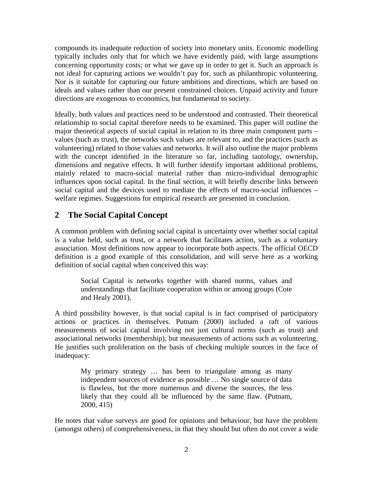compounds its inadequate reduction of society into monetary units. Economic modelling typically includes only that for which we have evidently paid, with large assumptions concerning opportunity costs; or what we gave up in order to get it. Such an approach is not ideal for capturing actions we wouldn't pay for, such as philanthropic volunteering. Nor is it suitable for capturing our future ambitions and directions, which are based on ideals and values rather than our present constrained choices. Unpaid activity and future directions are exogenous to economics, but fundamental to society.

Ideally, both values and practices need to be understood and contrasted. Their theoretical relationship to social capital therefore needs to be examined. This paper will outline the major theoretical aspects of social capital in relation to its three main component parts – values (such as trust), the networks such values are relevant to, and the practices (such as volunteering) related to those values and networks. It will also outline the major problems with the concept identified in the literature so far, including tautology, ownership, dimensions and negative effects. It will further identify important additional problems, mainly related to macro-social material rather than micro-individual demographic influences upon social capital. In the final section, it will briefly describe links between social capital and the devices used to mediate the effects of macro-social influences – welfare regimes. Suggestions for empirical research are presented in conclusion.

#### **2 The Social Capital Concept**

A common problem with defining social capital is uncertainty over whether social capital is a value held, such as trust, or a network that facilitates action, such as a voluntary association. Most definitions now appear to incorporate both aspects. The official OECD definition is a good example of this consolidation, and will serve here as a working definition of social capital when conceived this way:

Social Capital is networks together with shared norms, values and understandings that facilitate cooperation within or among groups (Cote and Healy 2001).

A third possibility however, is that social capital is in fact comprised of participatory actions or practices in themselves. Putnam (2000) included a raft of various measurements of social capital involving not just cultural norms (such as trust) and associational networks (membership), but measurements of actions such as volunteering. He justifies such proliferation on the basis of checking multiple sources in the face of inadequacy:

My primary strategy … has been to triangulate among as many independent sources of evidence as possible … No single source of data is flawless, but the more numerous and diverse the sources, the less likely that they could all be influenced by the same flaw. (Putnam, 2000, 415)

He notes that value surveys are good for opinions and behaviour, but have the problem (amongst others) of comprehensiveness, in that they should but often do not cover a wide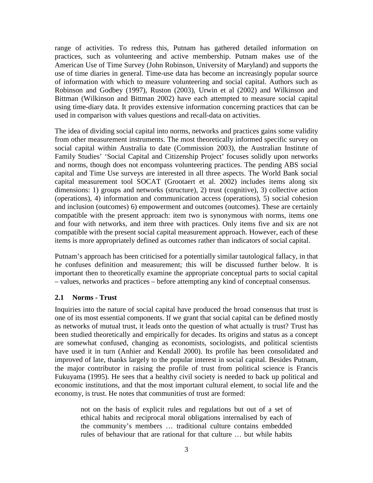range of activities. To redress this, Putnam has gathered detailed information on practices, such as volunteering and active membership. Putnam makes use of the American Use of Time Survey (John Robinson, University of Maryland) and supports the use of time diaries in general. Time-use data has become an increasingly popular source of information with which to measure volunteering and social capital. Authors such as Robinson and Godbey (1997), Ruston (2003), Urwin et al (2002) and Wilkinson and Bittman (Wilkinson and Bittman 2002) have each attempted to measure social capital using time-diary data. It provides extensive information concerning practices that can be used in comparison with values questions and recall-data on activities.

The idea of dividing social capital into norms, networks and practices gains some validity from other measurement instruments. The most theoretically informed specific survey on social capital within Australia to date (Commission 2003), the Australian Institute of Family Studies' 'Social Capital and Citizenship Project' focuses solidly upon networks and norms, though does not encompass volunteering practices. The pending ABS social capital and Time Use surveys are interested in all three aspects. The World Bank social capital measurement tool SOCAT (Grootaert et al. 2002) includes items along six dimensions: 1) groups and networks (structure), 2) trust (cognitive), 3) collective action (operations), 4) information and communication access (operations), 5) social cohesion and inclusion (outcomes) 6) empowerment and outcomes (outcomes). These are certainly compatible with the present approach: item two is synonymous with norms, items one and four with networks, and item three with practices. Only items five and six are not compatible with the present social capital measurement approach. However, each of these items is more appropriately defined as outcomes rather than indicators of social capital.

Putnam's approach has been criticised for a potentially similar tautological fallacy, in that he confuses definition and measurement; this will be discussed further below. It is important then to theoretically examine the appropriate conceptual parts to social capital – values, networks and practices – before attempting any kind of conceptual consensus.

#### **2.1 Norms - Trust**

Inquiries into the nature of social capital have produced the broad consensus that trust is one of its most essential components. If we grant that social capital can be defined mostly as networks of mutual trust, it leads onto the question of what actually is trust? Trust has been studied theoretically and empirically for decades. Its origins and status as a concept are somewhat confused, changing as economists, sociologists, and political scientists have used it in turn (Anhier and Kendall 2000). Its profile has been consolidated and improved of late, thanks largely to the popular interest in social capital. Besides Putnam, the major contributor in raising the profile of trust from political science is Francis Fukuyama (1995). He sees that a healthy civil society is needed to back up political and economic institutions, and that the most important cultural element, to social life and the economy, is trust. He notes that communities of trust are formed:

not on the basis of explicit rules and regulations but out of a set of ethical habits and reciprocal moral obligations internalised by each of the community's members … traditional culture contains embedded rules of behaviour that are rational for that culture … but while habits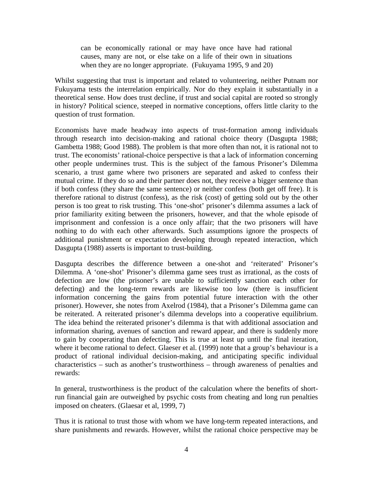can be economically rational or may have once have had rational causes, many are not, or else take on a life of their own in situations when they are no longer appropriate. (Fukuyama 1995, 9 and 20)

Whilst suggesting that trust is important and related to volunteering, neither Putnam nor Fukuyama tests the interrelation empirically. Nor do they explain it substantially in a theoretical sense. How does trust decline, if trust and social capital are rooted so strongly in history? Political science, steeped in normative conceptions, offers little clarity to the question of trust formation.

Economists have made headway into aspects of trust-formation among individuals through research into decision-making and rational choice theory (Dasgupta 1988; Gambetta 1988; Good 1988). The problem is that more often than not, it is rational not to trust. The economists' rational-choice perspective is that a lack of information concerning other people undermines trust. This is the subject of the famous Prisoner's Dilemma scenario, a trust game where two prisoners are separated and asked to confess their mutual crime. If they do so and their partner does not, they receive a bigger sentence than if both confess (they share the same sentence) or neither confess (both get off free). It is therefore rational to distrust (confess), as the risk (cost) of getting sold out by the other person is too great to risk trusting. This 'one-shot' prisoner's dilemma assumes a lack of prior familiarity exiting between the prisoners, however, and that the whole episode of imprisonment and confession is a once only affair; that the two prisoners will have nothing to do with each other afterwards. Such assumptions ignore the prospects of additional punishment or expectation developing through repeated interaction, which Dasgupta (1988) asserts is important to trust-building.

Dasgupta describes the difference between a one-shot and 'reiterated' Prisoner's Dilemma. A 'one-shot' Prisoner's dilemma game sees trust as irrational, as the costs of defection are low (the prisoner's are unable to sufficiently sanction each other for defecting) and the long-term rewards are likewise too low (there is insufficient information concerning the gains from potential future interaction with the other prisoner). However, she notes from Axelrod (1984), that a Prisoner's Dilemma game can be reiterated. A reiterated prisoner's dilemma develops into a cooperative equilibrium. The idea behind the reiterated prisoner's dilemma is that with additional association and information sharing, avenues of sanction and reward appear, and there is suddenly more to gain by cooperating than defecting. This is true at least up until the final iteration, where it become rational to defect. Glaeser et al. (1999) note that a group's behaviour is a product of rational individual decision-making, and anticipating specific individual characteristics – such as another's trustworthiness – through awareness of penalties and rewards:

In general, trustworthiness is the product of the calculation where the benefits of shortrun financial gain are outweighed by psychic costs from cheating and long run penalties imposed on cheaters. (Glaesar et al, 1999, 7)

Thus it is rational to trust those with whom we have long-term repeated interactions, and share punishments and rewards. However, whilst the rational choice perspective may be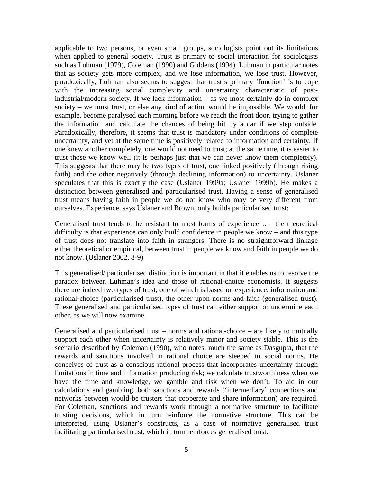applicable to two persons, or even small groups, sociologists point out its limitations when applied to general society. Trust is primary to social interaction for sociologists such as Luhman (1979), Coleman (1990) and Giddens (1994). Luhman in particular notes that as society gets more complex, and we lose information, we lose trust. However, paradoxically, Luhman also seems to suggest that trust's primary 'function' is to cope with the increasing social complexity and uncertainty characteristic of postindustrial/modern society. If we lack information – as we most certainly do in complex society – we must trust, or else any kind of action would be impossible. We would, for example, become paralysed each morning before we reach the front door, trying to gather the information and calculate the chances of being hit by a car if we step outside. Paradoxically, therefore, it seems that trust is mandatory under conditions of complete uncertainty, and yet at the same time is positively related to information and certainty. If one knew another completely, one would not need to trust; at the same time, it is easier to trust those we know well (it is perhaps just that we can never know them completely). This suggests that there may be two types of trust, one linked positively (through rising faith) and the other negatively (through declining information) to uncertainty. Uslaner speculates that this is exactly the case (Uslaner 1999a; Uslaner 1999b). He makes a distinction between generalised and particularised trust. Having a sense of generalised trust means having faith in people we do not know who may be very different from ourselves. Experience, says Uslaner and Brown, only builds particularised trust:

Generalised trust tends to be resistant to most forms of experience … the theoretical difficulty is that experience can only build confidence in people we know – and this type of trust does not translate into faith in strangers. There is no straightforward linkage either theoretical or empirical, between trust in people we know and faith in people we do not know. (Uslaner 2002, 8-9)

This generalised/ particularised distinction is important in that it enables us to resolve the paradox between Luhman's idea and those of rational-choice economists. It suggests there are indeed two types of trust, one of which is based on experience, information and rational-choice (particularised trust), the other upon norms and faith (generalised trust). These generalised and particularised types of trust can either support or undermine each other, as we will now examine.

Generalised and particularised trust – norms and rational-choice – are likely to mutually support each other when uncertainty is relatively minor and society stable. This is the scenario described by Coleman (1990), who notes, much the same as Dasgupta, that the rewards and sanctions involved in rational choice are steeped in social norms. He conceives of trust as a conscious rational process that incorporates uncertainty through limitations in time and information producing risk; we calculate trustworthiness when we have the time and knowledge, we gamble and risk when we don't. To aid in our calculations and gambling, both sanctions and rewards ('intermediary' connections and networks between would-be trusters that cooperate and share information) are required. For Coleman, sanctions and rewards work through a normative structure to facilitate trusting decisions, which in turn reinforce the normative structure. This can be interpreted, using Uslaner's constructs, as a case of normative generalised trust facilitating particularised trust, which in turn reinforces generalised trust.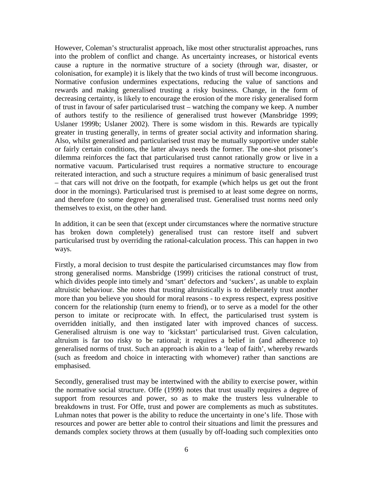However, Coleman's structuralist approach, like most other structuralist approaches, runs into the problem of conflict and change. As uncertainty increases, or historical events cause a rupture in the normative structure of a society (through war, disaster, or colonisation, for example) it is likely that the two kinds of trust will become incongruous. Normative confusion undermines expectations, reducing the value of sanctions and rewards and making generalised trusting a risky business. Change, in the form of decreasing certainty, is likely to encourage the erosion of the more risky generalised form of trust in favour of safer particularised trust – watching the company we keep. A number of authors testify to the resilience of generalised trust however (Mansbridge 1999; Uslaner 1999b; Uslaner 2002). There is some wisdom in this. Rewards are typically greater in trusting generally, in terms of greater social activity and information sharing. Also, whilst generalised and particularised trust may be mutually supportive under stable or fairly certain conditions, the latter always needs the former. The one-shot prisoner's dilemma reinforces the fact that particularised trust cannot rationally grow or live in a normative vacuum. Particularised trust requires a normative structure to encourage reiterated interaction, and such a structure requires a minimum of basic generalised trust – that cars will not drive on the footpath, for example (which helps us get out the front door in the mornings). Particularised trust is premised to at least some degree on norms, and therefore (to some degree) on generalised trust. Generalised trust norms need only themselves to exist, on the other hand.

In addition, it can be seen that (except under circumstances where the normative structure has broken down completely) generalised trust can restore itself and subvert particularised trust by overriding the rational-calculation process. This can happen in two ways.

Firstly, a moral decision to trust despite the particularised circumstances may flow from strong generalised norms. Mansbridge (1999) criticises the rational construct of trust, which divides people into timely and 'smart' defectors and 'suckers', as unable to explain altruistic behaviour. She notes that trusting altruistically is to deliberately trust another more than you believe you should for moral reasons - to express respect, express positive concern for the relationship (turn enemy to friend), or to serve as a model for the other person to imitate or reciprocate with. In effect, the particularised trust system is overridden initially, and then instigated later with improved chances of success. Generalised altruism is one way to 'kickstart' particularised trust. Given calculation, altruism is far too risky to be rational; it requires a belief in (and adherence to) generalised norms of trust. Such an approach is akin to a 'leap of faith', whereby rewards (such as freedom and choice in interacting with whomever) rather than sanctions are emphasised.

Secondly, generalised trust may be intertwined with the ability to exercise power, within the normative social structure. Offe (1999) notes that trust usually requires a degree of support from resources and power, so as to make the trusters less vulnerable to breakdowns in trust. For Offe, trust and power are complements as much as substitutes. Luhman notes that power is the ability to reduce the uncertainty in one's life. Those with resources and power are better able to control their situations and limit the pressures and demands complex society throws at them (usually by off-loading such complexities onto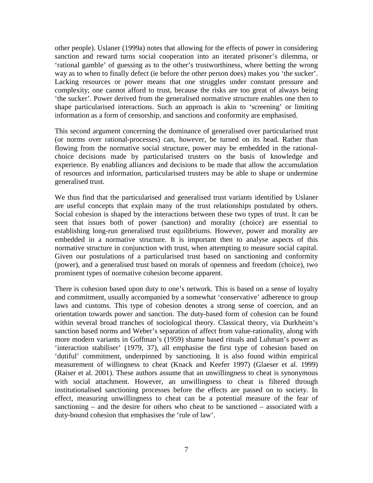other people). Uslaner (1999a) notes that allowing for the effects of power in considering sanction and reward turns social cooperation into an iterated prisoner's dilemma, or 'rational gamble' of guessing as to the other's trustworthiness, where betting the wrong way as to when to finally defect (ie before the other person does) makes you 'the sucker'. Lacking resources or power means that one struggles under constant pressure and complexity; one cannot afford to trust, because the risks are too great of always being 'the sucker'. Power derived from the generalised normative structure enables one then to shape particularised interactions. Such an approach is akin to 'screening' or limiting information as a form of censorship, and sanctions and conformity are emphasised.

This second argument concerning the dominance of generalised over particularised trust (or norms over rational-processes) can, however, be turned on its head. Rather than flowing from the normative social structure, power may be embedded in the rationalchoice decisions made by particularised trusters on the basis of knowledge and experience. By enabling alliances and decisions to be made that allow the accumulation of resources and information, particularised trusters may be able to shape or undermine generalised trust.

We thus find that the particularised and generalised trust variants identified by Uslaner are useful concepts that explain many of the trust relationships postulated by others. Social cohesion is shaped by the interactions between these two types of trust. It can be seen that issues both of power (sanction) and morality (choice) are essential to establishing long-run generalised trust equilibriums. However, power and morality are embedded in a normative structure. It is important then to analyse aspects of this normative structure in conjunction with trust, when attempting to measure social capital. Given our postulations of a particularised trust based on sanctioning and conformity (power), and a generalised trust based on morals of openness and freedom (choice), two prominent types of normative cohesion become apparent.

There is cohesion based upon duty to one's network. This is based on a sense of loyalty and commitment, usually accompanied by a somewhat 'conservative' adherence to group laws and customs. This type of cohesion denotes a strong sense of coercion, and an orientation towards power and sanction. The duty-based form of cohesion can be found within several broad tranches of sociological theory. Classical theory, via Durkheim's sanction based norms and Weber's separation of affect from value-rationality, along with more modern variants in Goffman's (1959) shame based rituals and Luhman's power as 'interaction stabiliser' (1979, 37), all emphasise the first type of cohesion based on 'dutiful' commitment, underpinned by sanctioning. It is also found within empirical measurement of willingness to cheat (Knack and Keefer 1997) (Glaeser et al. 1999) (Raiser et al. 2001). These authors assume that an unwillingness to cheat is synonymous with social attachment. However, an unwillingness to cheat is filtered through institutionalised sanctioning processes before the effects are passed on to society. In effect, measuring unwillingness to cheat can be a potential measure of the fear of sanctioning – and the desire for others who cheat to be sanctioned – associated with a duty-bound cohesion that emphasises the 'rule of law'.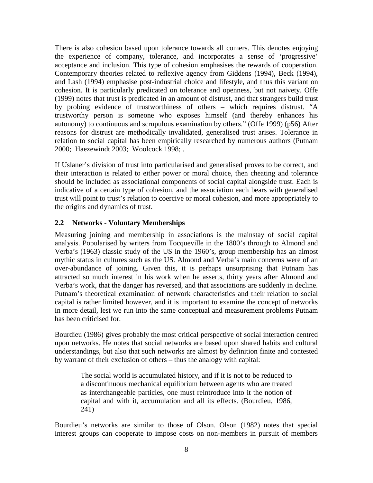There is also cohesion based upon tolerance towards all comers. This denotes enjoying the experience of company, tolerance, and incorporates a sense of 'progressive' acceptance and inclusion. This type of cohesion emphasises the rewards of cooperation. Contemporary theories related to reflexive agency from Giddens (1994), Beck (1994), and Lash (1994) emphasise post-industrial choice and lifestyle, and thus this variant on cohesion. It is particularly predicated on tolerance and openness, but not naivety. Offe (1999) notes that trust is predicated in an amount of distrust, and that strangers build trust by probing evidence of trustworthiness of others – which requires distrust. "A trustworthy person is someone who exposes himself (and thereby enhances his autonomy) to continuous and scrupulous examination by others." (Offe 1999) (p56) After reasons for distrust are methodically invalidated, generalised trust arises. Tolerance in relation to social capital has been empirically researched by numerous authors (Putnam 2000; Haezewindt 2003; Woolcock 1998; .

If Uslaner's division of trust into particularised and generalised proves to be correct, and their interaction is related to either power or moral choice, then cheating and tolerance should be included as associational components of social capital alongside trust. Each is indicative of a certain type of cohesion, and the association each bears with generalised trust will point to trust's relation to coercive or moral cohesion, and more appropriately to the origins and dynamics of trust.

#### **2.2 Networks - Voluntary Memberships**

Measuring joining and membership in associations is the mainstay of social capital analysis. Popularised by writers from Tocqueville in the 1800's through to Almond and Verba's (1963) classic study of the US in the 1960's, group membership has an almost mythic status in cultures such as the US. Almond and Verba's main concerns were of an over-abundance of joining. Given this, it is perhaps unsurprising that Putnam has attracted so much interest in his work when he asserts, thirty years after Almond and Verba's work, that the danger has reversed, and that associations are suddenly in decline. Putnam's theoretical examination of network characteristics and their relation to social capital is rather limited however, and it is important to examine the concept of networks in more detail, lest we run into the same conceptual and measurement problems Putnam has been criticised for.

Bourdieu (1986) gives probably the most critical perspective of social interaction centred upon networks. He notes that social networks are based upon shared habits and cultural understandings, but also that such networks are almost by definition finite and contested by warrant of their exclusion of others – thus the analogy with capital:

The social world is accumulated history, and if it is not to be reduced to a discontinuous mechanical equilibrium between agents who are treated as interchangeable particles, one must reintroduce into it the notion of capital and with it, accumulation and all its effects. (Bourdieu, 1986, 241)

Bourdieu's networks are similar to those of Olson. Olson (1982) notes that special interest groups can cooperate to impose costs on non-members in pursuit of members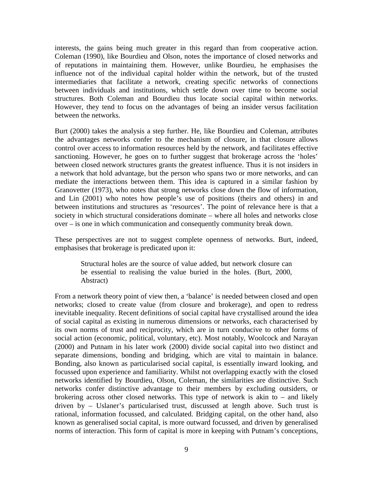interests, the gains being much greater in this regard than from cooperative action. Coleman (1990), like Bourdieu and Olson, notes the importance of closed networks and of reputations in maintaining them. However, unlike Bourdieu, he emphasises the influence not of the individual capital holder within the network, but of the trusted intermediaries that facilitate a network, creating specific networks of connections between individuals and institutions, which settle down over time to become social structures. Both Coleman and Bourdieu thus locate social capital within networks. However, they tend to focus on the advantages of being an insider versus facilitation between the networks.

Burt (2000) takes the analysis a step further. He, like Bourdieu and Coleman, attributes the advantages networks confer to the mechanism of closure, in that closure allows control over access to information resources held by the network, and facilitates effective sanctioning. However, he goes on to further suggest that brokerage across the 'holes' between closed network structures grants the greatest influence. Thus it is not insiders in a network that hold advantage, but the person who spans two or more networks, and can mediate the interactions between them. This idea is captured in a similar fashion by Granovetter (1973), who notes that strong networks close down the flow of information, and Lin (2001) who notes how people's use of positions (theirs and others) in and between institutions and structures as 'resources'. The point of relevance here is that a society in which structural considerations dominate – where all holes and networks close over – is one in which communication and consequently community break down.

These perspectives are not to suggest complete openness of networks. Burt, indeed, emphasises that brokerage is predicated upon it:

Structural holes are the source of value added, but network closure can be essential to realising the value buried in the holes. (Burt, 2000, Abstract)

From a network theory point of view then, a 'balance' is needed between closed and open networks; closed to create value (from closure and brokerage), and open to redress inevitable inequality. Recent definitions of social capital have crystallised around the idea of social capital as existing in numerous dimensions or networks, each characterised by its own norms of trust and reciprocity, which are in turn conducive to other forms of social action (economic, political, voluntary, etc). Most notably, Woolcock and Narayan (2000) and Putnam in his later work (2000) divide social capital into two distinct and separate dimensions, bonding and bridging, which are vital to maintain in balance. Bonding, also known as particularised social capital, is essentially inward looking, and focussed upon experience and familiarity. Whilst not overlapping exactly with the closed networks identified by Bourdieu, Olson, Coleman, the similarities are distinctive. Such networks confer distinctive advantage to their members by excluding outsiders, or brokering across other closed networks. This type of network is akin to – and likely driven by – Uslaner's particularised trust, discussed at length above. Such trust is rational, information focussed, and calculated. Bridging capital, on the other hand, also known as generalised social capital, is more outward focussed, and driven by generalised norms of interaction. This form of capital is more in keeping with Putnam's conceptions,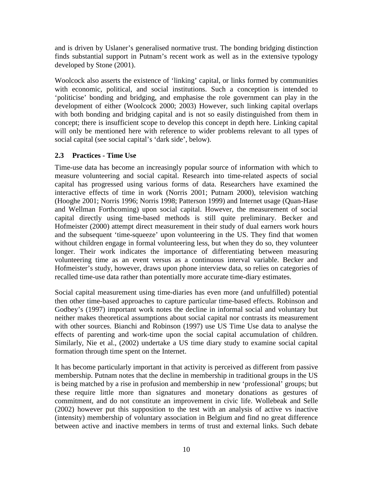and is driven by Uslaner's generalised normative trust. The bonding bridging distinction finds substantial support in Putnam's recent work as well as in the extensive typology developed by Stone (2001).

Woolcock also asserts the existence of 'linking' capital, or links formed by communities with economic, political, and social institutions. Such a conception is intended to 'politicise' bonding and bridging, and emphasise the role government can play in the development of either (Woolcock 2000; 2003) However, such linking capital overlaps with both bonding and bridging capital and is not so easily distinguished from them in concept; there is insufficient scope to develop this concept in depth here. Linking capital will only be mentioned here with reference to wider problems relevant to all types of social capital (see social capital's 'dark side', below).

#### **2.3 Practices - Time Use**

Time-use data has become an increasingly popular source of information with which to measure volunteering and social capital. Research into time-related aspects of social capital has progressed using various forms of data. Researchers have examined the interactive effects of time in work (Norris 2001; Putnam 2000), television watching (Hooghe 2001; Norris 1996; Norris 1998; Patterson 1999) and Internet usage (Quan-Hase and Wellman Forthcoming) upon social capital. However, the measurement of social capital directly using time-based methods is still quite preliminary. Becker and Hofmeister (2000) attempt direct measurement in their study of dual earners work hours and the subsequent 'time-squeeze' upon volunteering in the US. They find that women without children engage in formal volunteering less, but when they do so, they volunteer longer. Their work indicates the importance of differentiating between measuring volunteering time as an event versus as a continuous interval variable. Becker and Hofmeister's study, however, draws upon phone interview data, so relies on categories of recalled time-use data rather than potentially more accurate time-diary estimates.

Social capital measurement using time-diaries has even more (and unfulfilled) potential then other time-based approaches to capture particular time-based effects. Robinson and Godbey's (1997) important work notes the decline in informal social and voluntary but neither makes theoretical assumptions about social capital nor contrasts its measurement with other sources. Bianchi and Robinson (1997) use US Time Use data to analyse the effects of parenting and work-time upon the social capital accumulation of children. Similarly, Nie et al., (2002) undertake a US time diary study to examine social capital formation through time spent on the Internet.

It has become particularly important in that activity is perceived as different from passive membership. Putnam notes that the decline in membership in traditional groups in the US is being matched by a rise in profusion and membership in new 'professional' groups; but these require little more than signatures and monetary donations as gestures of commitment, and do not constitute an improvement in civic life. Wollebeak and Selle (2002) however put this supposition to the test with an analysis of active vs inactive (intensity) membership of voluntary association in Belgium and find no great difference between active and inactive members in terms of trust and external links. Such debate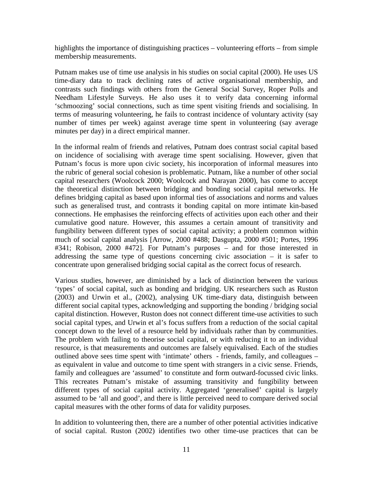highlights the importance of distinguishing practices – volunteering efforts – from simple membership measurements.

Putnam makes use of time use analysis in his studies on social capital (2000). He uses US time-diary data to track declining rates of active organisational membership, and contrasts such findings with others from the General Social Survey, Roper Polls and Needham Lifestyle Surveys. He also uses it to verify data concerning informal 'schmoozing' social connections, such as time spent visiting friends and socialising. In terms of measuring volunteering, he fails to contrast incidence of voluntary activity (say number of times per week) against average time spent in volunteering (say average minutes per day) in a direct empirical manner.

In the informal realm of friends and relatives, Putnam does contrast social capital based on incidence of socialising with average time spent socialising. However, given that Putnam's focus is more upon civic society, his incorporation of informal measures into the rubric of general social cohesion is problematic. Putnam, like a number of other social capital researchers (Woolcock 2000; Woolcock and Narayan 2000), has come to accept the theoretical distinction between bridging and bonding social capital networks. He defines bridging capital as based upon informal ties of associations and norms and values such as generalised trust, and contrasts it bonding capital on more intimate kin-based connections. He emphasises the reinforcing effects of activities upon each other and their cumulative good nature. However, this assumes a certain amount of transitivity and fungibility between different types of social capital activity; a problem common within much of social capital analysis [Arrow, 2000 #488; Dasgupta, 2000 #501; Portes, 1996 #341; Robison, 2000 #472]. For Putnam's purposes – and for those interested in addressing the same type of questions concerning civic association – it is safer to concentrate upon generalised bridging social capital as the correct focus of research.

Various studies, however, are diminished by a lack of distinction between the various 'types' of social capital, such as bonding and bridging. UK researchers such as Ruston (2003) and Urwin et al., (2002), analysing UK time-diary data, distinguish between different social capital types, acknowledging and supporting the bonding / bridging social capital distinction. However, Ruston does not connect different time-use activities to such social capital types, and Urwin et al's focus suffers from a reduction of the social capital concept down to the level of a resource held by individuals rather than by communities. The problem with failing to theorise social capital, or with reducing it to an individual resource, is that measurements and outcomes are falsely equivalised. Each of the studies outlined above sees time spent with 'intimate' others - friends, family, and colleagues – as equivalent in value and outcome to time spent with strangers in a civic sense. Friends, family and colleagues are 'assumed' to constitute and form outward-focussed civic links. This recreates Putnam's mistake of assuming transitivity and fungibility between different types of social capital activity. Aggregated 'generalised' capital is largely assumed to be 'all and good', and there is little perceived need to compare derived social capital measures with the other forms of data for validity purposes.

In addition to volunteering then, there are a number of other potential activities indicative of social capital. Ruston (2002) identifies two other time-use practices that can be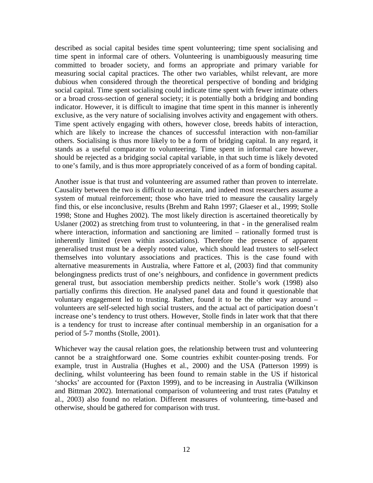described as social capital besides time spent volunteering; time spent socialising and time spent in informal care of others. Volunteering is unambiguously measuring time committed to broader society, and forms an appropriate and primary variable for measuring social capital practices. The other two variables, whilst relevant, are more dubious when considered through the theoretical perspective of bonding and bridging social capital. Time spent socialising could indicate time spent with fewer intimate others or a broad cross-section of general society; it is potentially both a bridging and bonding indicator. However, it is difficult to imagine that time spent in this manner is inherently exclusive, as the very nature of socialising involves activity and engagement with others. Time spent actively engaging with others, however close, breeds habits of interaction, which are likely to increase the chances of successful interaction with non-familiar others. Socialising is thus more likely to be a form of bridging capital. In any regard, it stands as a useful comparator to volunteering. Time spent in informal care however, should be rejected as a bridging social capital variable, in that such time is likely devoted to one's family, and is thus more appropriately conceived of as a form of bonding capital.

Another issue is that trust and volunteering are assumed rather than proven to interrelate. Causality between the two is difficult to ascertain, and indeed most researchers assume a system of mutual reinforcement; those who have tried to measure the causality largely find this, or else inconclusive, results (Brehm and Rahn 1997; Glaeser et al., 1999; Stolle 1998; Stone and Hughes 2002). The most likely direction is ascertained theoretically by Uslaner (2002) as stretching from trust to volunteering, in that - in the generalised realm where interaction, information and sanctioning are limited – rationally formed trust is inherently limited (even within associations). Therefore the presence of apparent generalised trust must be a deeply rooted value, which should lead trusters to self-select themselves into voluntary associations and practices. This is the case found with alternative measurements in Australia, where Fattore et al, (2003) find that community belongingness predicts trust of one's neighbours, and confidence in government predicts general trust, but association membership predicts neither. Stolle's work (1998) also partially confirms this direction. He analysed panel data and found it questionable that voluntary engagement led to trusting. Rather, found it to be the other way around – volunteers are self-selected high social trusters, and the actual act of participation doesn't increase one's tendency to trust others. However, Stolle finds in later work that that there is a tendency for trust to increase after continual membership in an organisation for a period of 5-7 months (Stolle, 2001).

Whichever way the causal relation goes, the relationship between trust and volunteering cannot be a straightforward one. Some countries exhibit counter-posing trends. For example, trust in Australia (Hughes et al., 2000) and the USA (Patterson 1999) is declining, whilst volunteering has been found to remain stable in the US if historical 'shocks' are accounted for (Paxton 1999), and to be increasing in Australia (Wilkinson and Bittman 2002). International comparison of volunteering and trust rates (Patulny et al., 2003) also found no relation. Different measures of volunteering, time-based and otherwise, should be gathered for comparison with trust.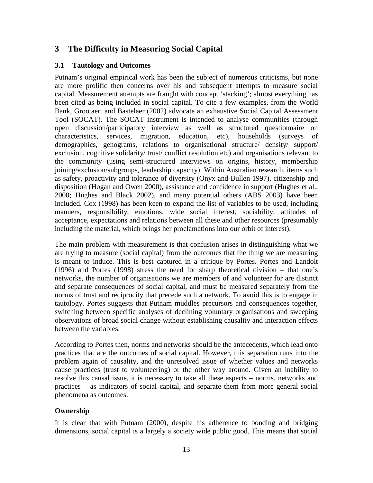#### **3 The Difficulty in Measuring Social Capital**

#### **3.1 Tautology and Outcomes**

Putnam's original empirical work has been the subject of numerous criticisms, but none are more prolific then concerns over his and subsequent attempts to measure social capital. Measurement attempts are fraught with concept 'stacking'; almost everything has been cited as being included in social capital. To cite a few examples, from the World Bank, Grootaert and Bastelaer (2002) advocate an exhaustive Social Capital Assessment Tool (SOCAT). The SOCAT instrument is intended to analyse communities (through open discussion/participatory interview as well as structured questionnaire on characteristics, services, migration, education, etc), households (surveys of demographics, genograms, relations to organisational structure/ density/ support/ exclusion, cognitive solidarity/ trust/ conflict resolution etc) and organisations relevant to the community (using semi-structured interviews on origins, history, membership joining/exclusion/subgroups, leadership capacity). Within Australian research, items such as safety, proactivity and tolerance of diversity (Onyx and Bullen 1997), citizenship and disposition (Hogan and Owen 2000), assistance and confidence in support (Hughes et al., 2000; Hughes and Black 2002), and many potential others (ABS 2003) have been included. Cox (1998) has been keen to expand the list of variables to be used, including manners, responsibility, emotions, wide social interest, sociability, attitudes of acceptance, expectations and relations between all these and other resources (presumably including the material, which brings her proclamations into our orbit of interest).

The main problem with measurement is that confusion arises in distinguishing what we are trying to measure (social capital) from the outcomes that the thing we are measuring is meant to induce. This is best captured in a critique by Portes. Portes and Landolt (1996) and Portes (1998) stress the need for sharp theoretical division – that one's networks, the number of organisations we are members of and volunteer for are distinct and separate consequences of social capital, and must be measured separately from the norms of trust and reciprocity that precede such a network. To avoid this is to engage in tautology. Portes suggests that Putnam muddles precursors and consequences together, switching between specific analyses of declining voluntary organisations and sweeping observations of broad social change without establishing causality and interaction effects between the variables.

According to Portes then, norms and networks should be the antecedents, which lead onto practices that are the outcomes of social capital. However, this separation runs into the problem again of causality, and the unresolved issue of whether values and networks cause practices (trust to volunteering) or the other way around. Given an inability to resolve this causal issue, it is necessary to take all these aspects – norms, networks and practices – as indicators of social capital, and separate them from more general social phenomena as outcomes.

#### **Ownership**

It is clear that with Putnam (2000), despite his adherence to bonding and bridging dimensions, social capital is a largely a society wide public good. This means that social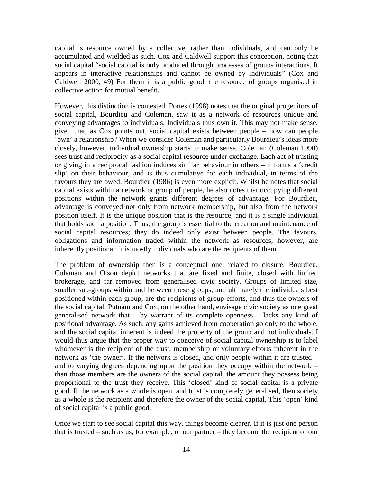capital is resource owned by a collective, rather than individuals, and can only be accumulated and wielded as such. Cox and Caldwell support this conception, noting that social capital "social capital is only produced through processes of groups interactions. It appears in interactive relationships and cannot be owned by individuals" (Cox and Caldwell 2000, 49) For them it is a public good, the resource of groups organised in collective action for mutual benefit.

However, this distinction is contested. Portes (1998) notes that the original progenitors of social capital, Bourdieu and Coleman, saw it as a network of resources unique and conveying advantages to individuals. Individuals thus own it. This may not make sense, given that, as Cox points out, social capital exists between people – how can people 'own' a relationship? When we consider Coleman and particularly Bourdieu's ideas more closely, however, individual ownership starts to make sense. Coleman (Coleman 1990) sees trust and reciprocity as a social capital resource under exchange. Each act of trusting or giving in a reciprocal fashion induces similar behaviour in others – it forms a 'credit slip' on their behaviour, and is thus cumulative for each individual, in terms of the favours they are owed. Bourdieu (1986) is even more explicit. Whilst he notes that social capital exists within a network or group of people, he also notes that occupying different positions within the network grants different degrees of advantage. For Bourdieu, advantage is conveyed not only from network membership, but also from the network position itself. It is the unique position that is the resource; and it is a single individual that holds such a position. Thus, the group is essential to the creation and maintenance of social capital resources; they do indeed only exist between people. The favours, obligations and information traded within the network as resources, however, are inherently positional; it is mostly individuals who are the recipients of them.

The problem of ownership then is a conceptual one, related to closure. Bourdieu, Coleman and Olson depict networks that are fixed and finite, closed with limited brokerage, and far removed from generalised civic society. Groups of limited size, smaller sub-groups within and between these groups, and ultimately the individuals best positioned within each group, are the recipients of group efforts, and thus the owners of the social capital. Putnam and Cox, on the other hand, envisage civic society as one great generalised network that – by warrant of its complete openness – lacks any kind of positional advantage. As such, any gains achieved from cooperation go only to the whole, and the social capital inherent is indeed the property of the group and not individuals. I would thus argue that the proper way to conceive of social capital ownership is to label whomever is the recipient of the trust, membership or voluntary efforts inherent in the network as 'the owner'. If the network is closed, and only people within it are trusted – and to varying degrees depending upon the position they occupy within the network – than those members are the owners of the social capital, the amount they possess being proportional to the trust they receive. This 'closed' kind of social capital is a private good. If the network as a whole is open, and trust is completely generalised, then society as a whole is the recipient and therefore the owner of the social capital. This 'open' kind of social capital is a public good.

Once we start to see social capital this way, things become clearer. If it is just one person that is trusted – such as us, for example, or our partner – they become the recipient of our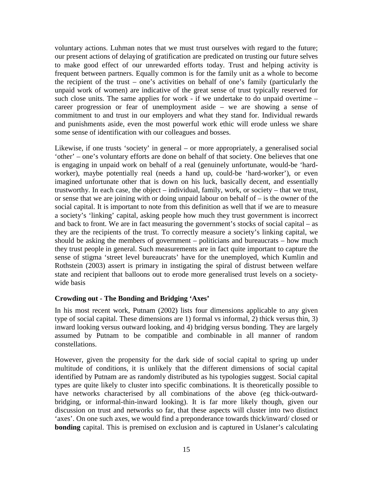voluntary actions. Luhman notes that we must trust ourselves with regard to the future; our present actions of delaying of gratification are predicated on trusting our future selves to make good effect of our unrewarded efforts today. Trust and helping activity is frequent between partners. Equally common is for the family unit as a whole to become the recipient of the trust – one's activities on behalf of one's family (particularly the unpaid work of women) are indicative of the great sense of trust typically reserved for such close units. The same applies for work - if we undertake to do unpaid overtime – career progression or fear of unemployment aside – we are showing a sense of commitment to and trust in our employers and what they stand for. Individual rewards and punishments aside, even the most powerful work ethic will erode unless we share some sense of identification with our colleagues and bosses.

Likewise, if one trusts 'society' in general – or more appropriately, a generalised social 'other' – one's voluntary efforts are done on behalf of that society. One believes that one is engaging in unpaid work on behalf of a real (genuinely unfortunate, would-be 'hardworker), maybe potentially real (needs a hand up, could-be 'hard-worker'), or even imagined unfortunate other that is down on his luck, basically decent, and essentially trustworthy. In each case, the object – individual, family, work, or society – that we trust, or sense that we are joining with or doing unpaid labour on behalf of – is the owner of the social capital. It is important to note from this definition as well that if we are to measure a society's 'linking' capital, asking people how much they trust government is incorrect and back to front. We are in fact measuring the government's stocks of social capital – as they are the recipients of the trust. To correctly measure a society's linking capital, we should be asking the members of government – politicians and bureaucrats – how much they trust people in general. Such measurements are in fact quite important to capture the sense of stigma 'street level bureaucrats' have for the unemployed, which Kumlin and Rothstein (2003) assert is primary in instigating the spiral of distrust between welfare state and recipient that balloons out to erode more generalised trust levels on a societywide basis

#### **Crowding out - The Bonding and Bridging 'Axes'**

In his most recent work, Putnam (2002) lists four dimensions applicable to any given type of social capital. These dimensions are 1) formal vs informal, 2) thick versus thin, 3) inward looking versus outward looking, and 4) bridging versus bonding. They are largely assumed by Putnam to be compatible and combinable in all manner of random constellations.

However, given the propensity for the dark side of social capital to spring up under multitude of conditions, it is unlikely that the different dimensions of social capital identified by Putnam are as randomly distributed as his typologies suggest. Social capital types are quite likely to cluster into specific combinations. It is theoretically possible to have networks characterised by all combinations of the above (eg thick-outwardbridging, or informal-thin-inward looking). It is far more likely though, given our discussion on trust and networks so far, that these aspects will cluster into two distinct 'axes'. On one such axes, we would find a preponderance towards thick/inward/ closed or **bonding** capital. This is premised on exclusion and is captured in Uslaner's calculating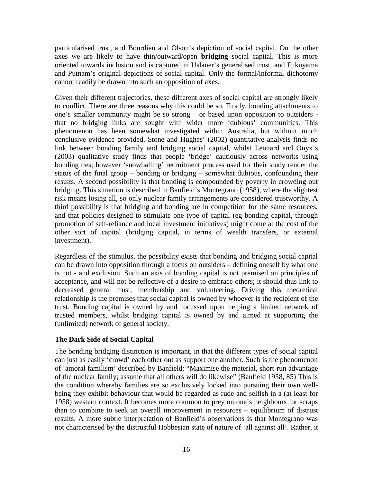particularised trust, and Bourdieu and Olson's depiction of social capital. On the other axes we are likely to have thin/outward/open **bridging** social capital. This is more oriented towards inclusion and is captured in Uslaner's generalised trust, and Fukuyama and Putnam's original depictions of social capital. Only the formal/informal dichotomy cannot readily be drawn into such an opposition of axes.

Given their different trajectories, these different axes of social capital are strongly likely to conflict. There are three reasons why this could be so. Firstly, bonding attachments to one's smaller community might be so strong – or based upon opposition to outsiders that no bridging links are sought with wider more 'dubious' communities. This phenomenon has been somewhat investigated within Australia, but without much conclusive evidence provided. Stone and Hughes' (2002) quantitative analysis finds no link between bonding family and bridging social capital, whilst Leonard and Onyx's (2003) qualitative study finds that people 'bridge' cautiously across networks using bonding ties; however 'snowballing' recruitment process used for their study render the status of the final group – bonding or bridging – somewhat dubious, confounding their results. A second possibility is that bonding is compounded by poverty in crowding out bridging. This situation is described in Banfield's Montegrano (1958), where the slightest risk means losing all, so only nuclear family arrangements are considered trustworthy. A third possibility is that bridging and bonding are in competition for the same resources, and that policies designed to stimulate one type of capital (eg bonding capital, through promotion of self-reliance and local investment initiatives) might come at the cost of the other sort of capital (bridging capital, in terms of wealth transfers, or external investment).

Regardless of the stimulus, the possibility exists that bonding and bridging social capital can be drawn into opposition through a focus on outsiders – defining oneself by what one is not - and exclusion. Such an axis of bonding capital is not premised on principles of acceptance, and will not be reflective of a desire to embrace others; it should thus link to decreased general trust, membership and volunteering. Driving this theoretical relationship is the premises that social capital is owned by whoever is the recipient of the trust. Bonding capital is owned by and focussed upon helping a limited network of trusted members, whilst bridging capital is owned by and aimed at supporting the (unlimited) network of general society.

#### **The Dark Side of Social Capital**

The bonding bridging distinction is important, in that the different types of social capital can just as easily 'crowd' each other out as support one another. Such is the phenomenon of 'amoral familism' described by Banfield: "Maximise the material, short-run advantage of the nuclear family; assume that all others will do likewise" (Banfield 1958, 85) This is the condition whereby families are so exclusively locked into pursuing their own wellbeing they exhibit behaviour that would be regarded as rude and selfish in a (at least for 1958) western context. It becomes more common to prey on one's neighbours for scraps than to combine to seek an overall improvement in resources – equilibrium of distrust results. A more subtle interpretation of Banfield's observations is that Montegrano was not characterised by the distrustful Hobbesian state of nature of 'all against all'. Rather, it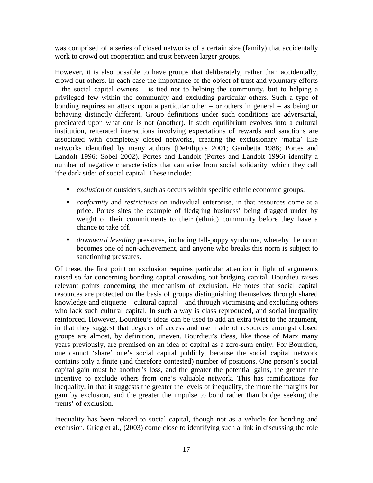was comprised of a series of closed networks of a certain size (family) that accidentally work to crowd out cooperation and trust between larger groups.

However, it is also possible to have groups that deliberately, rather than accidentally, crowd out others. In each case the importance of the object of trust and voluntary efforts – the social capital owners – is tied not to helping the community, but to helping a privileged few within the community and excluding particular others. Such a type of bonding requires an attack upon a particular other – or others in general – as being or behaving distinctly different. Group definitions under such conditions are adversarial, predicated upon what one is not (another). If such equilibrium evolves into a cultural institution, reiterated interactions involving expectations of rewards and sanctions are associated with completely closed networks, creating the exclusionary 'mafia' like networks identified by many authors (DeFilippis 2001; Gambetta 1988; Portes and Landolt 1996; Sobel 2002). Portes and Landolt (Portes and Landolt 1996) identify a number of negative characteristics that can arise from social solidarity, which they call 'the dark side' of social capital. These include:

- *exclusion* of outsiders, such as occurs within specific ethnic economic groups.
- *conformity* and *restrictions* on individual enterprise, in that resources come at a price. Portes sites the example of fledgling business' being dragged under by weight of their commitments to their (ethnic) community before they have a chance to take off.
- *downward levelling* pressures, including tall-poppy syndrome, whereby the norm becomes one of non-achievement, and anyone who breaks this norm is subject to sanctioning pressures.

Of these, the first point on exclusion requires particular attention in light of arguments raised so far concerning bonding capital crowding out bridging capital. Bourdieu raises relevant points concerning the mechanism of exclusion. He notes that social capital resources are protected on the basis of groups distinguishing themselves through shared knowledge and etiquette – cultural capital – and through victimising and excluding others who lack such cultural capital. In such a way is class reproduced, and social inequality reinforced. However, Bourdieu's ideas can be used to add an extra twist to the argument, in that they suggest that degrees of access and use made of resources amongst closed groups are almost, by definition, uneven. Bourdieu's ideas, like those of Marx many years previously, are premised on an idea of capital as a zero-sum entity. For Bourdieu, one cannot 'share' one's social capital publicly, because the social capital network contains only a finite (and therefore contested) number of positions. One person's social capital gain must be another's loss, and the greater the potential gains, the greater the incentive to exclude others from one's valuable network. This has ramifications for inequality, in that it suggests the greater the levels of inequality, the more the margins for gain by exclusion, and the greater the impulse to bond rather than bridge seeking the 'rents' of exclusion.

Inequality has been related to social capital, though not as a vehicle for bonding and exclusion. Grieg et al., (2003) come close to identifying such a link in discussing the role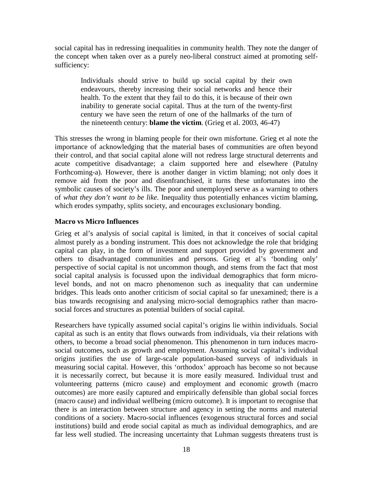social capital has in redressing inequalities in community health. They note the danger of the concept when taken over as a purely neo-liberal construct aimed at promoting selfsufficiency:

Individuals should strive to build up social capital by their own endeavours, thereby increasing their social networks and hence their health. To the extent that they fail to do this, it is because of their own inability to generate social capital. Thus at the turn of the twenty-first century we have seen the return of one of the hallmarks of the turn of the nineteenth century: **blame the victim**. (Grieg et al. 2003, 46-47)

This stresses the wrong in blaming people for their own misfortune. Grieg et al note the importance of acknowledging that the material bases of communities are often beyond their control, and that social capital alone will not redress large structural deterrents and acute competitive disadvantage; a claim supported here and elsewhere (Patulny Forthcoming-a). However, there is another danger in victim blaming; not only does it remove aid from the poor and disenfranchised, it turns these unfortunates into the symbolic causes of society's ills. The poor and unemployed serve as a warning to others of *what they don't want to be like*. Inequality thus potentially enhances victim blaming, which erodes sympathy, splits society, and encourages exclusionary bonding.

#### **Macro vs Micro Influences**

Grieg et al's analysis of social capital is limited, in that it conceives of social capital almost purely as a bonding instrument. This does not acknowledge the role that bridging capital can play, in the form of investment and support provided by government and others to disadvantaged communities and persons. Grieg et al's 'bonding only' perspective of social capital is not uncommon though, and stems from the fact that most social capital analysis is focussed upon the individual demographics that form microlevel bonds, and not on macro phenomenon such as inequality that can undermine bridges. This leads onto another criticism of social capital so far unexamined; there is a bias towards recognising and analysing micro-social demographics rather than macrosocial forces and structures as potential builders of social capital.

Researchers have typically assumed social capital's origins lie within individuals. Social capital as such is an entity that flows outwards from individuals, via their relations with others, to become a broad social phenomenon. This phenomenon in turn induces macrosocial outcomes, such as growth and employment. Assuming social capital's individual origins justifies the use of large-scale population-based surveys of individuals in measuring social capital. However, this 'orthodox' approach has become so not because it is necessarily correct, but because it is more easily measured. Individual trust and volunteering patterns (micro cause) and employment and economic growth (macro outcomes) are more easily captured and empirically defensible than global social forces (macro cause) and individual wellbeing (micro outcome). It is important to recognise that there is an interaction between structure and agency in setting the norms and material conditions of a society. Macro-social influences (exogenous structural forces and social institutions) build and erode social capital as much as individual demographics, and are far less well studied. The increasing uncertainty that Luhman suggests threatens trust is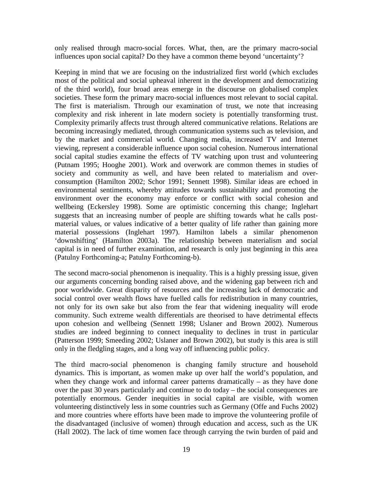only realised through macro-social forces. What, then, are the primary macro-social influences upon social capital? Do they have a common theme beyond 'uncertainty'?

Keeping in mind that we are focusing on the industrialized first world (which excludes most of the political and social upheaval inherent in the development and democratizing of the third world), four broad areas emerge in the discourse on globalised complex societies. These form the primary macro-social influences most relevant to social capital. The first is materialism. Through our examination of trust, we note that increasing complexity and risk inherent in late modern society is potentially transforming trust. Complexity primarily affects trust through altered communicative relations. Relations are becoming increasingly mediated, through communication systems such as television, and by the market and commercial world. Changing media, increased TV and Internet viewing, represent a considerable influence upon social cohesion. Numerous international social capital studies examine the effects of TV watching upon trust and volunteering (Putnam 1995; Hooghe 2001). Work and overwork are common themes in studies of society and community as well, and have been related to materialism and overconsumption (Hamilton 2002; Schor 1991; Sennett 1998). Similar ideas are echoed in environmental sentiments, whereby attitudes towards sustainability and promoting the environment over the economy may enforce or conflict with social cohesion and wellbeing (Eckersley 1998). Some are optimistic concerning this change; Inglehart suggests that an increasing number of people are shifting towards what he calls postmaterial values, or values indicative of a better quality of life rather than gaining more material possessions (Inglehart 1997). Hamilton labels a similar phenomenon 'downshifting' (Hamilton 2003a). The relationship between materialism and social capital is in need of further examination, and research is only just beginning in this area (Patulny Forthcoming-a; Patulny Forthcoming-b).

The second macro-social phenomenon is inequality. This is a highly pressing issue, given our arguments concerning bonding raised above, and the widening gap between rich and poor worldwide. Great disparity of resources and the increasing lack of democratic and social control over wealth flows have fuelled calls for redistribution in many countries, not only for its own sake but also from the fear that widening inequality will erode community. Such extreme wealth differentials are theorised to have detrimental effects upon cohesion and wellbeing (Sennett 1998; Uslaner and Brown 2002). Numerous studies are indeed beginning to connect inequality to declines in trust in particular (Patterson 1999; Smeeding 2002; Uslaner and Brown 2002), but study is this area is still only in the fledgling stages, and a long way off influencing public policy.

The third macro-social phenomenon is changing family structure and household dynamics. This is important, as women make up over half the world's population, and when they change work and informal career patterns dramatically – as they have done over the past 30 years particularly and continue to do today – the social consequences are potentially enormous. Gender inequities in social capital are visible, with women volunteering distinctively less in some countries such as Germany (Offe and Fuchs 2002) and more countries where efforts have been made to improve the volunteering profile of the disadvantaged (inclusive of women) through education and access, such as the UK (Hall 2002). The lack of time women face through carrying the twin burden of paid and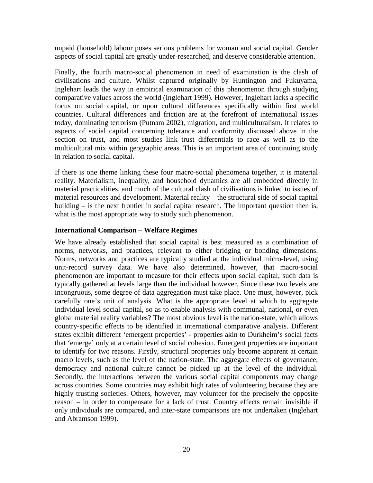unpaid (household) labour poses serious problems for woman and social capital. Gender aspects of social capital are greatly under-researched, and deserve considerable attention.

Finally, the fourth macro-social phenomenon in need of examination is the clash of civilisations and culture. Whilst captured originally by Huntington and Fukuyama, Inglehart leads the way in empirical examination of this phenomenon through studying comparative values across the world (Inglehart 1999). However, Inglehart lacks a specific focus on social capital, or upon cultural differences specifically within first world countries. Cultural differences and friction are at the forefront of international issues today, dominating terrorism (Putnam 2002), migration, and multiculturalism. It relates to aspects of social capital concerning tolerance and conformity discussed above in the section on trust, and most studies link trust differentials to race as well as to the multicultural mix within geographic areas. This is an important area of continuing study in relation to social capital.

If there is one theme linking these four macro-social phenomena together, it is material reality. Materialism, inequality, and household dynamics are all embedded directly in material practicalities, and much of the cultural clash of civilisations is linked to issues of material resources and development. Material reality – the structural side of social capital building – is the next frontier in social capital research. The important question then is, what is the most appropriate way to study such phenomenon.

#### **International Comparison – Welfare Regimes**

We have already established that social capital is best measured as a combination of norms, networks, and practices, relevant to either bridging or bonding dimensions. Norms, networks and practices are typically studied at the individual micro-level, using unit-record survey data. We have also determined, however, that macro-social phenomenon are important to measure for their effects upon social capital; such data is typically gathered at levels large than the individual however. Since these two levels are incongruous, some degree of data aggregation must take place. One must, however, pick carefully one's unit of analysis. What is the appropriate level at which to aggregate individual level social capital, so as to enable analysis with communal, national, or even global material reality variables? The most obvious level is the nation-state, which allows country-specific effects to be identified in international comparative analysis. Different states exhibit different 'emergent properties' - properties akin to Durkheim's social facts that 'emerge' only at a certain level of social cohesion. Emergent properties are important to identify for two reasons. Firstly, structural properties only become apparent at certain macro levels, such as the level of the nation-state. The aggregate effects of governance, democracy and national culture cannot be picked up at the level of the individual. Secondly, the interactions between the various social capital components may change across countries. Some countries may exhibit high rates of volunteering because they are highly trusting societies. Others, however, may volunteer for the precisely the opposite reason – in order to compensate for a lack of trust. Country effects remain invisible if only individuals are compared, and inter-state comparisons are not undertaken (Inglehart and Abramson 1999).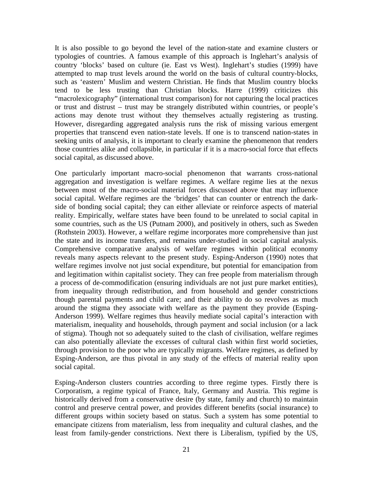It is also possible to go beyond the level of the nation-state and examine clusters or typologies of countries. A famous example of this approach is Inglehart's analysis of country 'blocks' based on culture (ie. East vs West). Inglehart's studies (1999) have attempted to map trust levels around the world on the basis of cultural country-blocks, such as 'eastern' Muslim and western Christian. He finds that Muslim country blocks tend to be less trusting than Christian blocks. Harre (1999) criticizes this "macrolexicography" (international trust comparison) for not capturing the local practices or trust and distrust – trust may be strangely distributed within countries, or people's actions may denote trust without they themselves actually registering as trusting. However, disregarding aggregated analysis runs the risk of missing various emergent properties that transcend even nation-state levels. If one is to transcend nation-states in seeking units of analysis, it is important to clearly examine the phenomenon that renders those countries alike and collapsible, in particular if it is a macro-social force that effects social capital, as discussed above.

One particularly important macro-social phenomenon that warrants cross-national aggregation and investigation is welfare regimes. A welfare regime lies at the nexus between most of the macro-social material forces discussed above that may influence social capital. Welfare regimes are the 'bridges' that can counter or entrench the darkside of bonding social capital; they can either alleviate or reinforce aspects of material reality. Empirically, welfare states have been found to be unrelated to social capital in some countries, such as the US (Putnam 2000), and positively in others, such as Sweden (Rothstein 2003). However, a welfare regime incorporates more comprehensive than just the state and its income transfers, and remains under-studied in social capital analysis. Comprehensive comparative analysis of welfare regimes within political economy reveals many aspects relevant to the present study. Esping-Anderson (1990) notes that welfare regimes involve not just social expenditure, but potential for emancipation from and legitimation within capitalist society. They can free people from materialism through a process of de-commodification (ensuring individuals are not just pure market entities), from inequality through redistribution, and from household and gender constrictions though parental payments and child care; and their ability to do so revolves as much around the stigma they associate with welfare as the payment they provide (Esping-Anderson 1999). Welfare regimes thus heavily mediate social capital's interaction with materialism, inequality and households, through payment and social inclusion (or a lack of stigma). Though not so adequately suited to the clash of civilisation, welfare regimes can also potentially alleviate the excesses of cultural clash within first world societies, through provision to the poor who are typically migrants. Welfare regimes, as defined by Esping-Anderson, are thus pivotal in any study of the effects of material reality upon social capital.

Esping-Anderson clusters countries according to three regime types. Firstly there is Corporatism, a regime typical of France, Italy, Germany and Austria. This regime is historically derived from a conservative desire (by state, family and church) to maintain control and preserve central power, and provides different benefits (social insurance) to different groups within society based on status. Such a system has some potential to emancipate citizens from materialism, less from inequality and cultural clashes, and the least from family-gender constrictions. Next there is Liberalism, typified by the US,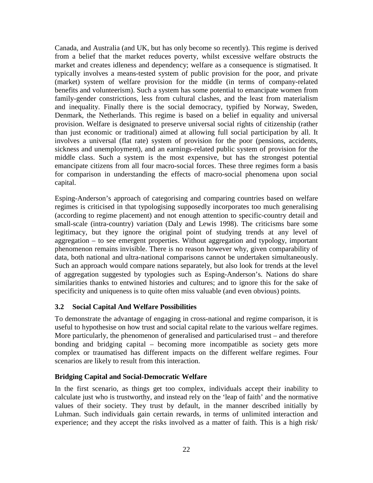Canada, and Australia (and UK, but has only become so recently). This regime is derived from a belief that the market reduces poverty, whilst excessive welfare obstructs the market and creates idleness and dependency; welfare as a consequence is stigmatised. It typically involves a means-tested system of public provision for the poor, and private (market) system of welfare provision for the middle (in terms of company-related benefits and volunteerism). Such a system has some potential to emancipate women from family-gender constrictions, less from cultural clashes, and the least from materialism and inequality. Finally there is the social democracy, typified by Norway, Sweden, Denmark, the Netherlands. This regime is based on a belief in equality and universal provision. Welfare is designated to preserve universal social rights of citizenship (rather than just economic or traditional) aimed at allowing full social participation by all. It involves a universal (flat rate) system of provision for the poor (pensions, accidents, sickness and unemployment), and an earnings-related public system of provision for the middle class. Such a system is the most expensive, but has the strongest potential emancipate citizens from all four macro-social forces. These three regimes form a basis for comparison in understanding the effects of macro-social phenomena upon social capital.

Esping-Anderson's approach of categorising and comparing countries based on welfare regimes is criticised in that typologising supposedly incorporates too much generalising (according to regime placement) and not enough attention to specific-country detail and small-scale (intra-country) variation (Daly and Lewis 1998). The criticisms bare some legitimacy, but they ignore the original point of studying trends at any level of aggregation – to see emergent properties. Without aggregation and typology, important phenomenon remains invisible. There is no reason however why, given comparability of data, both national and ultra-national comparisons cannot be undertaken simultaneously. Such an approach would compare nations separately, but also look for trends at the level of aggregation suggested by typologies such as Esping-Anderson's. Nations do share similarities thanks to entwined histories and cultures; and to ignore this for the sake of specificity and uniqueness is to quite often miss valuable (and even obvious) points.

#### **3.2 Social Capital And Welfare Possibilities**

To demonstrate the advantage of engaging in cross-national and regime comparison, it is useful to hypothesise on how trust and social capital relate to the various welfare regimes. More particularly, the phenomenon of generalised and particularised trust – and therefore bonding and bridging capital – becoming more incompatible as society gets more complex or traumatised has different impacts on the different welfare regimes. Four scenarios are likely to result from this interaction.

#### **Bridging Capital and Social-Democratic Welfare**

In the first scenario, as things get too complex, individuals accept their inability to calculate just who is trustworthy, and instead rely on the 'leap of faith' and the normative values of their society. They trust by default, in the manner described initially by Luhman. Such individuals gain certain rewards, in terms of unlimited interaction and experience; and they accept the risks involved as a matter of faith. This is a high risk/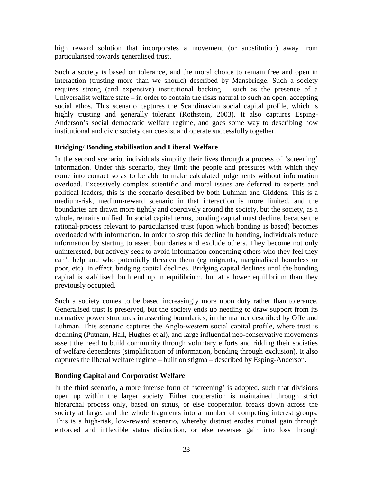high reward solution that incorporates a movement (or substitution) away from particularised towards generalised trust.

Such a society is based on tolerance, and the moral choice to remain free and open in interaction (trusting more than we should) described by Mansbridge. Such a society requires strong (and expensive) institutional backing – such as the presence of a Universalist welfare state  $-$  in order to contain the risks natural to such an open, accepting social ethos. This scenario captures the Scandinavian social capital profile, which is highly trusting and generally tolerant (Rothstein, 2003). It also captures Esping-Anderson's social democratic welfare regime, and goes some way to describing how institutional and civic society can coexist and operate successfully together.

#### **Bridging/ Bonding stabilisation and Liberal Welfare**

In the second scenario, individuals simplify their lives through a process of 'screening' information. Under this scenario, they limit the people and pressures with which they come into contact so as to be able to make calculated judgements without information overload. Excessively complex scientific and moral issues are deferred to experts and political leaders; this is the scenario described by both Luhman and Giddens. This is a medium-risk, medium-reward scenario in that interaction is more limited, and the boundaries are drawn more tightly and coercively around the society, but the society, as a whole, remains unified. In social capital terms, bonding capital must decline, because the rational-process relevant to particularised trust (upon which bonding is based) becomes overloaded with information. In order to stop this decline in bonding, individuals reduce information by starting to assert boundaries and exclude others. They become not only uninterested, but actively seek to avoid information concerning others who they feel they can't help and who potentially threaten them (eg migrants, marginalised homeless or poor, etc). In effect, bridging capital declines. Bridging capital declines until the bonding capital is stabilised; both end up in equilibrium, but at a lower equilibrium than they previously occupied.

Such a society comes to be based increasingly more upon duty rather than tolerance. Generalised trust is preserved, but the society ends up needing to draw support from its normative power structures in asserting boundaries, in the manner described by Offe and Luhman. This scenario captures the Anglo-western social capital profile, where trust is declining (Putnam, Hall, Hughes et al), and large influential neo-conservative movements assert the need to build community through voluntary efforts and ridding their societies of welfare dependents (simplification of information, bonding through exclusion). It also captures the liberal welfare regime – built on stigma – described by Esping-Anderson.

#### **Bonding Capital and Corporatist Welfare**

In the third scenario, a more intense form of 'screening' is adopted, such that divisions open up within the larger society. Either cooperation is maintained through strict hierarchal process only, based on status, or else cooperation breaks down across the society at large, and the whole fragments into a number of competing interest groups. This is a high-risk, low-reward scenario, whereby distrust erodes mutual gain through enforced and inflexible status distinction, or else reverses gain into loss through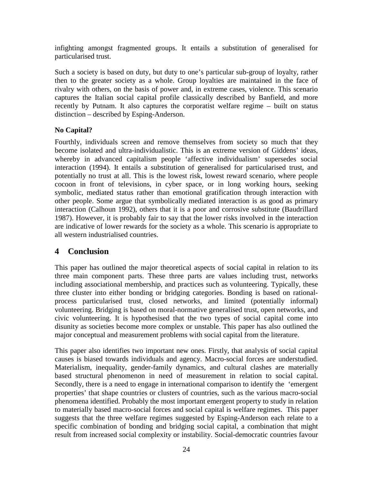infighting amongst fragmented groups. It entails a substitution of generalised for particularised trust.

Such a society is based on duty, but duty to one's particular sub-group of loyalty, rather then to the greater society as a whole. Group loyalties are maintained in the face of rivalry with others, on the basis of power and, in extreme cases, violence. This scenario captures the Italian social capital profile classically described by Banfield, and more recently by Putnam. It also captures the corporatist welfare regime – built on status distinction – described by Esping-Anderson.

#### **No Capital?**

Fourthly, individuals screen and remove themselves from society so much that they become isolated and ultra-individualistic. This is an extreme version of Giddens' ideas, whereby in advanced capitalism people 'affective individualism' supersedes social interaction (1994). It entails a substitution of generalised for particularised trust, and potentially no trust at all. This is the lowest risk, lowest reward scenario, where people cocoon in front of televisions, in cyber space, or in long working hours, seeking symbolic, mediated status rather than emotional gratification through interaction with other people. Some argue that symbolically mediated interaction is as good as primary interaction (Calhoun 1992), others that it is a poor and corrosive substitute (Baudrillard 1987). However, it is probably fair to say that the lower risks involved in the interaction are indicative of lower rewards for the society as a whole. This scenario is appropriate to all western industrialised countries.

#### **4 Conclusion**

This paper has outlined the major theoretical aspects of social capital in relation to its three main component parts. These three parts are values including trust, networks including associational membership, and practices such as volunteering. Typically, these three cluster into either bonding or bridging categories. Bonding is based on rationalprocess particularised trust, closed networks, and limited (potentially informal) volunteering. Bridging is based on moral-normative generalised trust, open networks, and civic volunteering. It is hypothesised that the two types of social capital come into disunity as societies become more complex or unstable. This paper has also outlined the major conceptual and measurement problems with social capital from the literature.

This paper also identifies two important new ones. Firstly, that analysis of social capital causes is biased towards individuals and agency. Macro-social forces are understudied. Materialism, inequality, gender-family dynamics, and cultural clashes are materially based structural phenomenon in need of measurement in relation to social capital. Secondly, there is a need to engage in international comparison to identify the 'emergent properties' that shape countries or clusters of countries, such as the various macro-social phenomena identified. Probably the most important emergent property to study in relation to materially based macro-social forces and social capital is welfare regimes. This paper suggests that the three welfare regimes suggested by Esping-Anderson each relate to a specific combination of bonding and bridging social capital, a combination that might result from increased social complexity or instability. Social-democratic countries favour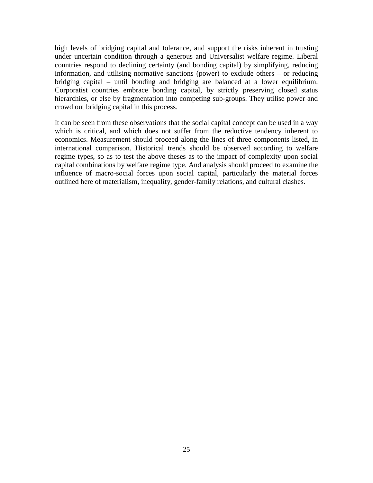high levels of bridging capital and tolerance, and support the risks inherent in trusting under uncertain condition through a generous and Universalist welfare regime. Liberal countries respond to declining certainty (and bonding capital) by simplifying, reducing information, and utilising normative sanctions (power) to exclude others – or reducing bridging capital – until bonding and bridging are balanced at a lower equilibrium. Corporatist countries embrace bonding capital, by strictly preserving closed status hierarchies, or else by fragmentation into competing sub-groups. They utilise power and crowd out bridging capital in this process.

It can be seen from these observations that the social capital concept can be used in a way which is critical, and which does not suffer from the reductive tendency inherent to economics. Measurement should proceed along the lines of three components listed, in international comparison. Historical trends should be observed according to welfare regime types, so as to test the above theses as to the impact of complexity upon social capital combinations by welfare regime type. And analysis should proceed to examine the influence of macro-social forces upon social capital, particularly the material forces outlined here of materialism, inequality, gender-family relations, and cultural clashes.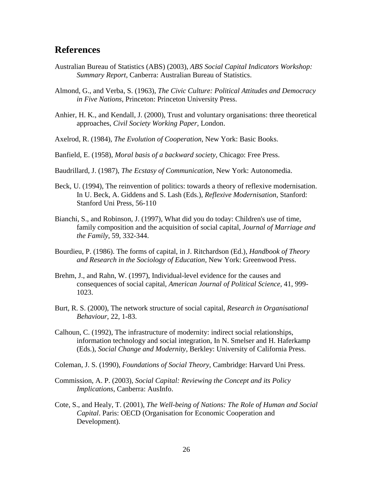#### **References**

- Australian Bureau of Statistics (ABS) (2003), *ABS Social Capital Indicators Workshop: Summary Report*, Canberra: Australian Bureau of Statistics.
- Almond, G., and Verba, S. (1963), *The Civic Culture: Political Attitudes and Democracy in Five Nations,* Princeton: Princeton University Press.
- Anhier, H. K., and Kendall, J. (2000), Trust and voluntary organisations: three theoretical approaches, *Civil Society Working Paper,* London.
- Axelrod, R. (1984), *The Evolution of Cooperation,* New York: Basic Books.
- Banfield, E. (1958), *Moral basis of a backward society,* Chicago: Free Press.
- Baudrillard, J. (1987), *The Ecstasy of Communication,* New York: Autonomedia.
- Beck, U. (1994), The reinvention of politics: towards a theory of reflexive modernisation. In U. Beck, A. Giddens and S. Lash (Eds.), *Reflexive Modernisation*, Stanford: Stanford Uni Press, 56-110
- Bianchi, S., and Robinson, J. (1997), What did you do today: Children's use of time, family composition and the acquisition of social capital, *Journal of Marriage and the Family*, 59, 332-344.
- Bourdieu, P. (1986). The forms of capital, in J. Ritchardson (Ed.), *Handbook of Theory and Research in the Sociology of Education,* New York: Greenwood Press.
- Brehm, J., and Rahn, W. (1997), Individual-level evidence for the causes and consequences of social capital, *American Journal of Political Science*, 41, 999- 1023.
- Burt, R. S. (2000), The network structure of social capital, *Research in Organisational Behaviour*, 22, 1-83.
- Calhoun, C. (1992), The infrastructure of modernity: indirect social relationships, information technology and social integration, In N. Smelser and H. Haferkamp (Eds.), *Social Change and Modernity,* Berkley: University of California Press.
- Coleman, J. S. (1990), *Foundations of Social Theory,* Cambridge: Harvard Uni Press.
- Commission, A. P. (2003), *Social Capital: Reviewing the Concept and its Policy Implications*, Canberra: AusInfo.
- Cote, S., and Healy, T. (2001), *The Well-being of Nations: The Role of Human and Social Capital*. Paris: OECD (Organisation for Economic Cooperation and Development).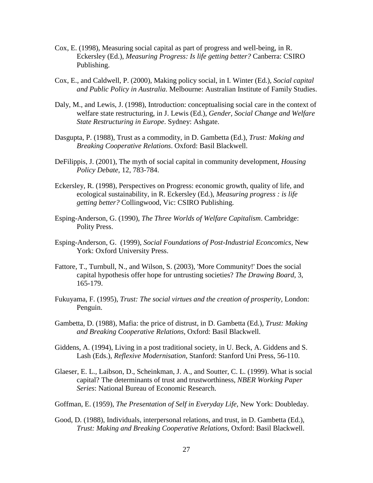- Cox, E. (1998), Measuring social capital as part of progress and well-being, in R. Eckersley (Ed.), *Measuring Progress: Is life getting better?* Canberra: CSIRO Publishing.
- Cox, E., and Caldwell, P. (2000), Making policy social, in I. Winter (Ed.), *Social capital and Public Policy in Australia*. Melbourne: Australian Institute of Family Studies.
- Daly, M., and Lewis, J. (1998), Introduction: conceptualising social care in the context of welfare state restructuring, in J. Lewis (Ed.), *Gender, Social Change and Welfare State Restructuring in Europe*. Sydney: Ashgate.
- Dasgupta, P. (1988), Trust as a commodity, in D. Gambetta (Ed.), *Trust: Making and Breaking Cooperative Relations*. Oxford: Basil Blackwell.
- DeFilippis, J. (2001), The myth of social capital in community development, *Housing Policy Debate*, 12, 783-784.
- Eckersley, R. (1998), Perspectives on Progress: economic growth, quality of life, and ecological sustainability, in R. Eckersley (Ed.), *Measuring progress : is life getting better?* Collingwood, Vic: CSIRO Publishing.
- Esping-Anderson, G. (1990), *The Three Worlds of Welfare Capitalism*. Cambridge: Polity Press.
- Esping-Anderson, G. (1999), *Social Foundations of Post-Industrial Econcomics,* New York: Oxford University Press.
- Fattore, T., Turnbull, N., and Wilson, S. (2003), 'More Community!' Does the social capital hypothesis offer hope for untrusting societies? *The Drawing Board*, 3, 165-179.
- Fukuyama, F. (1995), *Trust: The social virtues and the creation of prosperity,* London: Penguin.
- Gambetta, D. (1988), Mafia: the price of distrust, in D. Gambetta (Ed.), *Trust: Making and Breaking Cooperative Relations,* Oxford: Basil Blackwell.
- Giddens, A. (1994), Living in a post traditional society, in U. Beck, A. Giddens and S. Lash (Eds.), *Reflexive Modernisation,* Stanford: Stanford Uni Press, 56-110.
- Glaeser, E. L., Laibson, D., Scheinkman, J. A., and Soutter, C. L. (1999). What is social capital? The determinants of trust and trustworthiness, *NBER Working Paper Series*: National Bureau of Economic Research.
- Goffman, E. (1959), *The Presentation of Self in Everyday Life,* New York: Doubleday.
- Good, D. (1988), Individuals, interpersonal relations, and trust, in D. Gambetta (Ed.), *Trust: Making and Breaking Cooperative Relations,* Oxford: Basil Blackwell.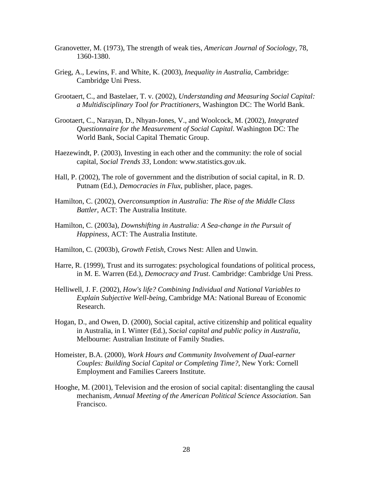- Granovetter, M. (1973), The strength of weak ties, *American Journal of Sociology*, 78, 1360-1380.
- Grieg, A., Lewins, F. and White, K. (2003), *Inequality in Australia*, Cambridge: Cambridge Uni Press.
- Grootaert, C., and Bastelaer, T. v. (2002), *Understanding and Measuring Social Capital: a Multidisciplinary Tool for Practitioners,* Washington DC: The World Bank.
- Grootaert, C., Narayan, D., Nhyan-Jones, V., and Woolcock, M. (2002), *Integrated Questionnaire for the Measurement of Social Capital*. Washington DC: The World Bank, Social Capital Thematic Group.
- Haezewindt, P. (2003), Investing in each other and the community: the role of social capital, *Social Trends 33,* London: www.statistics.gov.uk.
- Hall, P. (2002), The role of government and the distribution of social capital, in R. D. Putnam (Ed.), *Democracies in Flux*, publisher, place, pages.
- Hamilton, C. (2002), *Overconsumption in Australia: The Rise of the Middle Class Battler*, ACT: The Australia Institute.
- Hamilton, C. (2003a), *Downshifting in Australia: A Sea-change in the Pursuit of Happiness,* ACT: The Australia Institute.
- Hamilton, C. (2003b), *Growth Fetish*, Crows Nest: Allen and Unwin.
- Harre, R. (1999), Trust and its surrogates: psychological foundations of political process, in M. E. Warren (Ed.), *Democracy and Trust*. Cambridge: Cambridge Uni Press.
- Helliwell, J. F. (2002), *How's life? Combining Individual and National Variables to Explain Subjective Well-being*, Cambridge MA: National Bureau of Economic Research.
- Hogan, D., and Owen, D. (2000), Social capital, active citizenship and political equality in Australia, in I. Winter (Ed.), *Social capital and public policy in Australia,* Melbourne: Australian Institute of Family Studies.
- Homeister, B.A. (2000), *Work Hours and Community Involvement of Dual-earner Couples: Building Social Capital or Completing Time?*, New York: Cornell Employment and Families Careers Institute.
- Hooghe, M. (2001), Television and the erosion of social capital: disentangling the causal mechanism, *Annual Meeting of the American Political Science Association*. San Francisco.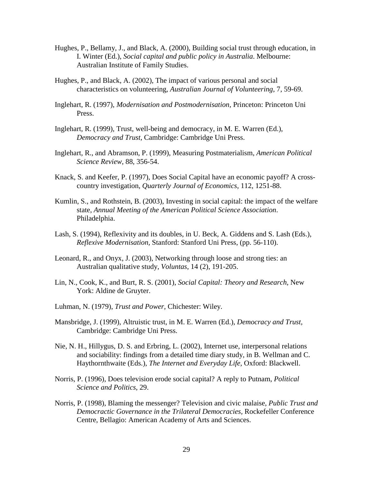- Hughes, P., Bellamy, J., and Black, A. (2000), Building social trust through education, in I. Winter (Ed.), *Social capital and public policy in Australia*. Melbourne: Australian Institute of Family Studies.
- Hughes, P., and Black, A. (2002), The impact of various personal and social characteristics on volunteering, *Australian Journal of Volunteering*, 7, 59-69.
- Inglehart, R. (1997), *Modernisation and Postmodernisation,* Princeton: Princeton Uni Press.
- Inglehart, R. (1999), Trust, well-being and democracy, in M. E. Warren (Ed.), *Democracy and Trust,* Cambridge: Cambridge Uni Press.
- Inglehart, R., and Abramson, P. (1999), Measuring Postmaterialism, *American Political Science Review*, 88, 356-54.
- Knack, S. and Keefer, P. (1997), Does Social Capital have an economic payoff? A crosscountry investigation, *Quarterly Journal of Economics*, 112, 1251-88.
- Kumlin, S., and Rothstein, B. (2003), Investing in social capital: the impact of the welfare state, *Annual Meeting of the American Political Science Association*. Philadelphia.
- Lash, S. (1994), Reflexivity and its doubles, in U. Beck, A. Giddens and S. Lash (Eds.), *Reflexive Modernisation,* Stanford: Stanford Uni Press, (pp. 56-110).
- Leonard, R., and Onyx, J. (2003), Networking through loose and strong ties: an Australian qualitative study, *Voluntas*, 14 (2), 191-205.
- Lin, N., Cook, K., and Burt, R. S. (2001), *Social Capital: Theory and Research,* New York: Aldine de Gruyter.
- Luhman, N. (1979), *Trust and Power,* Chichester: Wiley.
- Mansbridge, J. (1999), Altruistic trust, in M. E. Warren (Ed.), *Democracy and Trust,* Cambridge: Cambridge Uni Press.
- Nie, N. H., Hillygus, D. S. and Erbring, L. (2002), Internet use, interpersonal relations and sociability: findings from a detailed time diary study, in B. Wellman and C. Haythornthwaite (Eds.), *The Internet and Everyday Life,* Oxford: Blackwell.
- Norris, P. (1996), Does television erode social capital? A reply to Putnam, *Political Science and Politics*, 29.
- Norris, P. (1998), Blaming the messenger? Television and civic malaise, *Public Trust and Democractic Governance in the Trilateral Democracies,* Rockefeller Conference Centre, Bellagio: American Academy of Arts and Sciences.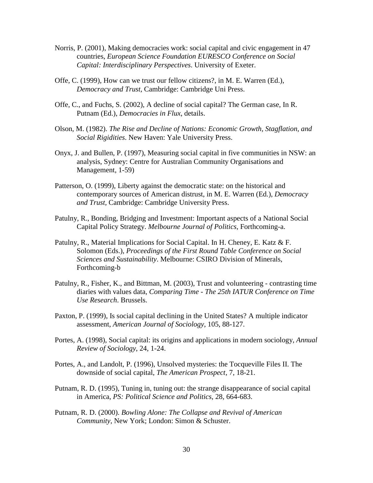- Norris, P. (2001), Making democracies work: social capital and civic engagement in 47 countries, *European Science Foundation EURESCO Conference on Social Capital: Interdisciplinary Perspectives*. University of Exeter.
- Offe, C. (1999), How can we trust our fellow citizens?, in M. E. Warren (Ed.), *Democracy and Trust,* Cambridge: Cambridge Uni Press.
- Offe, C., and Fuchs, S. (2002), A decline of social capital? The German case, In R. Putnam (Ed.), *Democracies in Flux*, details.
- Olson, M. (1982). *The Rise and Decline of Nations: Economic Growth, Stagflation, and Social Rigidities*. New Haven: Yale University Press.
- Onyx, J. and Bullen, P. (1997), Measuring social capital in five communities in NSW: an analysis, Sydney: Centre for Australian Community Organisations and Management, 1-59)
- Patterson, O. (1999), Liberty against the democratic state: on the historical and contemporary sources of American distrust, in M. E. Warren (Ed.), *Democracy and Trust,* Cambridge: Cambridge University Press.
- Patulny, R., Bonding, Bridging and Investment: Important aspects of a National Social Capital Policy Strategy. *Melbourne Journal of Politics,* Forthcoming-a.
- Patulny, R., Material Implications for Social Capital. In H. Cheney, E. Katz & F. Solomon (Eds.), *Proceedings of the First Round Table Conference on Social Sciences and Sustainability*. Melbourne: CSIRO Division of Minerals, Forthcoming-b
- Patulny, R., Fisher, K., and Bittman, M. (2003), Trust and volunteering contrasting time diaries with values data, *Comparing Time - The 25th IATUR Conference on Time Use Research*. Brussels.
- Paxton, P. (1999), Is social capital declining in the United States? A multiple indicator assessment, *American Journal of Sociology*, 105, 88-127.
- Portes, A. (1998), Social capital: its origins and applications in modern sociology, *Annual Review of Sociology*, 24, 1-24.
- Portes, A., and Landolt, P. (1996), Unsolved mysteries: the Tocqueville Files II. The downside of social capital, *The American Prospect*, 7, 18-21.
- Putnam, R. D. (1995), Tuning in, tuning out: the strange disappearance of social capital in America, *PS: Political Science and Politics*, 28, 664-683.
- Putnam, R. D. (2000). *Bowling Alone: The Collapse and Revival of American Community,* New York; London: Simon & Schuster.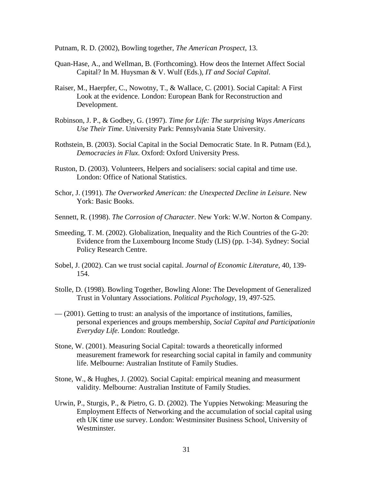Putnam, R. D. (2002), Bowling together, *The American Prospect*, 13.

- Quan-Hase, A., and Wellman, B. (Forthcoming). How deos the Internet Affect Social Capital? In M. Huysman & V. Wulf (Eds.), *IT and Social Capital*.
- Raiser, M., Haerpfer, C., Nowotny, T., & Wallace, C. (2001). Social Capital: A First Look at the evidence. London: European Bank for Reconstruction and Development.
- Robinson, J. P., & Godbey, G. (1997). *Time for Life: The surprising Ways Americans Use Their Time*. University Park: Pennsylvania State University.
- Rothstein, B. (2003). Social Capital in the Social Democratic State. In R. Putnam (Ed.), *Democracies in Flux*. Oxford: Oxford University Press.
- Ruston, D. (2003). Volunteers, Helpers and socialisers: social capital and time use. London: Office of National Statistics.
- Schor, J. (1991). *The Overworked American: the Unexpected Decline in Leisure*. New York: Basic Books.
- Sennett, R. (1998). *The Corrosion of Character*. New York: W.W. Norton & Company.
- Smeeding, T. M. (2002). Globalization, Inequality and the Rich Countries of the G-20: Evidence from the Luxembourg Income Study (LIS) (pp. 1-34). Sydney: Social Policy Research Centre.
- Sobel, J. (2002). Can we trust social capital. *Journal of Economic Literature*, 40, 139- 154.
- Stolle, D. (1998). Bowling Together, Bowling Alone: The Development of Generalized Trust in Voluntary Associations. *Political Psychology*, 19, 497-525.
- (2001). Getting to trust: an analysis of the importance of institutions, families, personal experiences and groups membership, *Social Capital and Participationin Everyday Life*. London: Routledge.
- Stone, W. (2001). Measuring Social Capital: towards a theoretically informed measurement framework for researching social capital in family and community life. Melbourne: Australian Institute of Family Studies.
- Stone, W., & Hughes, J. (2002). Social Capital: empirical meaning and measurment validity. Melbourne: Australian Institute of Family Studies.
- Urwin, P., Sturgis, P., & Pietro, G. D. (2002). The Yuppies Netwoking: Measuring the Employment Effects of Networking and the accumulation of social capital using eth UK time use survey. London: Westminsiter Business School, University of Westminster.